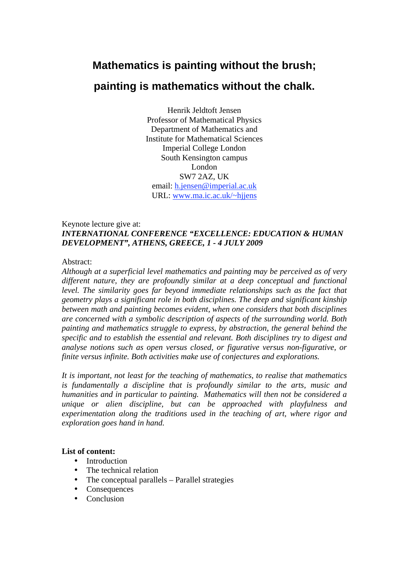# **Mathematics is painting without the brush;**

# **painting is mathematics without the chalk.**

Henrik Jeldtoft Jensen Professor of Mathematical Physics Department of Mathematics and Institute for Mathematical Sciences Imperial College London South Kensington campus London SW7 2AZ, UK email: h.jensen@imperial.ac.uk URL: www.ma.ic.ac.uk/~hjjens

### Keynote lecture give at: *INTERNATIONAL CONFERENCE "EXCELLENCE: EDUCATION & HUMAN DEVELOPMENT", ATHENS, GREECE, 1 - 4 JULY 2009*

### Abstract:

*Although at a superficial level mathematics and painting may be perceived as of very different nature, they are profoundly similar at a deep conceptual and functional level. The similarity goes far beyond immediate relationships such as the fact that geometry plays a significant role in both disciplines. The deep and significant kinship between math and painting becomes evident, when one considers that both disciplines are concerned with a symbolic description of aspects of the surrounding world. Both painting and mathematics struggle to express, by abstraction, the general behind the specific and to establish the essential and relevant. Both disciplines try to digest and analyse notions such as open versus closed, or figurative versus non-figurative, or finite versus infinite. Both activities make use of conjectures and explorations.* 

*It is important, not least for the teaching of mathematics, to realise that mathematics is fundamentally a discipline that is profoundly similar to the arts, music and humanities and in particular to painting. Mathematics will then not be considered a unique or alien discipline, but can be approached with playfulness and experimentation along the traditions used in the teaching of art, where rigor and exploration goes hand in hand.* 

### **List of content:**

- Introduction<br>• The technica
- The technical relation
- The conceptual parallels Parallel strategies
- Consequences<br>• Conclusion
- Conclusion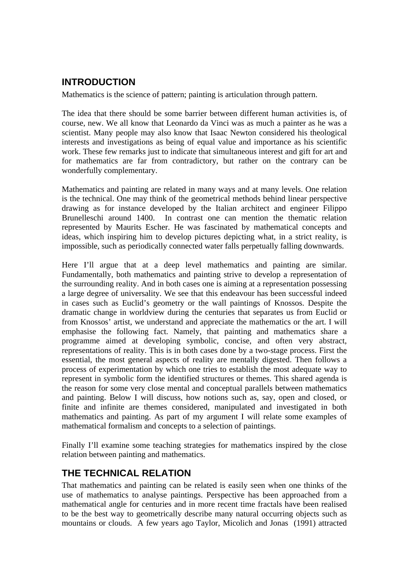# **INTRODUCTION**

Mathematics is the science of pattern; painting is articulation through pattern.

The idea that there should be some barrier between different human activities is, of course, new. We all know that Leonardo da Vinci was as much a painter as he was a scientist. Many people may also know that Isaac Newton considered his theological interests and investigations as being of equal value and importance as his scientific work. These few remarks just to indicate that simultaneous interest and gift for art and for mathematics are far from contradictory, but rather on the contrary can be wonderfully complementary.

Mathematics and painting are related in many ways and at many levels. One relation is the technical. One may think of the geometrical methods behind linear perspective drawing as for instance developed by the Italian architect and engineer Filippo Brunelleschi around 1400. In contrast one can mention the thematic relation represented by Maurits Escher. He was fascinated by mathematical concepts and ideas, which inspiring him to develop pictures depicting what, in a strict reality, is impossible, such as periodically connected water falls perpetually falling downwards.

Here I'll argue that at a deep level mathematics and painting are similar. Fundamentally, both mathematics and painting strive to develop a representation of the surrounding reality. And in both cases one is aiming at a representation possessing a large degree of universality. We see that this endeavour has been successful indeed in cases such as Euclid's geometry or the wall paintings of Knossos. Despite the dramatic change in worldview during the centuries that separates us from Euclid or from Knossos' artist, we understand and appreciate the mathematics or the art. I will emphasise the following fact. Namely, that painting and mathematics share a programme aimed at developing symbolic, concise, and often very abstract, representations of reality. This is in both cases done by a two-stage process. First the essential, the most general aspects of reality are mentally digested. Then follows a process of experimentation by which one tries to establish the most adequate way to represent in symbolic form the identified structures or themes. This shared agenda is the reason for some very close mental and conceptual parallels between mathematics and painting. Below I will discuss, how notions such as, say, open and closed, or finite and infinite are themes considered, manipulated and investigated in both mathematics and painting. As part of my argument I will relate some examples of mathematical formalism and concepts to a selection of paintings.

Finally I'll examine some teaching strategies for mathematics inspired by the close relation between painting and mathematics.

# **THE TECHNICAL RELATION**

That mathematics and painting can be related is easily seen when one thinks of the use of mathematics to analyse paintings. Perspective has been approached from a mathematical angle for centuries and in more recent time fractals have been realised to be the best way to geometrically describe many natural occurring objects such as mountains or clouds. A few years ago Taylor, Micolich and Jonas (1991) attracted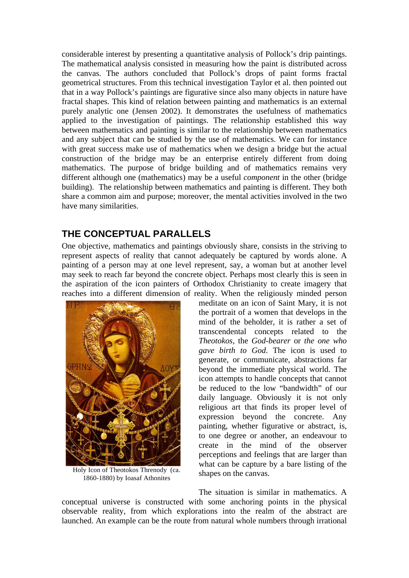considerable interest by presenting a quantitative analysis of Pollock's drip paintings. The mathematical analysis consisted in measuring how the paint is distributed across the canvas. The authors concluded that Pollock's drops of paint forms fractal geometrical structures. From this technical investigation Taylor et al. then pointed out that in a way Pollock's paintings are figurative since also many objects in nature have fractal shapes. This kind of relation between painting and mathematics is an external purely analytic one (Jensen 2002). It demonstrates the usefulness of mathematics applied to the investigation of paintings. The relationship established this way between mathematics and painting is similar to the relationship between mathematics and any subject that can be studied by the use of mathematics. We can for instance with great success make use of mathematics when we design a bridge but the actual construction of the bridge may be an enterprise entirely different from doing mathematics. The purpose of bridge building and of mathematics remains very different although one (mathematics) may be a useful *component* in the other (bridge building). The relationship between mathematics and painting is different. They both share a common aim and purpose; moreover, the mental activities involved in the two have many similarities.

### **THE CONCEPTUAL PARALLELS**

One objective, mathematics and paintings obviously share, consists in the striving to represent aspects of reality that cannot adequately be captured by words alone. A painting of a person may at one level represent, say, a woman but at another level may seek to reach far beyond the concrete object. Perhaps most clearly this is seen in the aspiration of the icon painters of Orthodox Christianity to create imagery that reaches into a different dimension of reality. When the religiously minded person



Holy Icon of Theotokos Threnody (ca. 1860-1880) by Ioasaf Athonites

meditate on an icon of Saint Mary, it is not the portrait of a women that develops in the mind of the beholder, it is rather a set of transcendental concepts related to the *Theotokos*, the *God-bearer* or *the one who gave birth to God*. The icon is used to generate, or communicate, abstractions far beyond the immediate physical world. The icon attempts to handle concepts that cannot be reduced to the low "bandwidth" of our daily language. Obviously it is not only religious art that finds its proper level of expression beyond the concrete. Any painting, whether figurative or abstract, is, to one degree or another, an endeavour to create in the mind of the observer perceptions and feelings that are larger than what can be capture by a bare listing of the shapes on the canvas.

The situation is similar in mathematics. A conceptual universe is constructed with some anchoring points in the physical observable reality, from which explorations into the realm of the abstract are launched. An example can be the route from natural whole numbers through irrational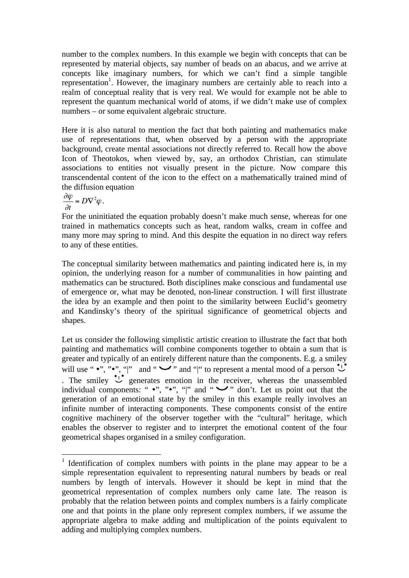number to the complex numbers. In this example we begin with concepts that can be represented by material objects, say number of beads on an abacus, and we arrive at concepts like imaginary numbers, for which we can't find a simple tangible representation<sup>1</sup>. However, the imaginary numbers are certainly able to reach into a realm of conceptual reality that is very real. We would for example not be able to represent the quantum mechanical world of atoms, if we didn't make use of complex numbers – or some equivalent algebraic structure.

Here it is also natural to mention the fact that both painting and mathematics make use of representations that, when observed by a person with the appropriate background, create mental associations not directly referred to. Recall how the above Icon of Theotokos, when viewed by, say, an orthodox Christian, can stimulate associations to entities not visually present in the picture. Now compare this transcendental content of the icon to the effect on a mathematically trained mind of the diffusion equation

 $\frac{\partial \varphi}{\partial t} = D\nabla^2 \varphi$ .

<u>.</u>

For the uninitiated the equation probably doesn't make much sense, whereas for one trained in mathematics concepts such as heat, random walks, cream in coffee and many more may spring to mind. And this despite the equation in no direct way refers to any of these entities.

The conceptual similarity between mathematics and painting indicated here is, in my opinion, the underlying reason for a number of communalities in how painting and mathematics can be structured. Both disciplines make conscious and fundamental use of emergence or, what may be denoted, non-linear construction. I will first illustrate the idea by an example and then point to the similarity between Euclid's geometry and Kandinsky's theory of the spiritual significance of geometrical objects and shapes.

Let us consider the following simplistic artistic creation to illustrate the fact that both painting and mathematics will combine components together to obtain a sum that is greater and typically of an entirely different nature than the components. E.g. a smiley will use " $\bullet$ ", " $\bullet$ ", "|" and " $\bullet$ " and "|" to represent a mental mood of a person  $\bullet$ . The smiley  $\cup^{\bullet}$  generates emotion in the receiver, whereas the unassembled individual components: " $\bullet$ ", " $\bullet$ ", "", "" and " $\bullet$ " don't. Let us point out that the generation of an emotional state by the smiley in this example really involves an infinite number of interacting components. These components consist of the entire cognitive machinery of the observer together with the "cultural" heritage, which enables the observer to register and to interpret the emotional content of the four geometrical shapes organised in a smiley configuration.

<sup>&</sup>lt;sup>1</sup> Identification of complex numbers with points in the plane may appear to be a simple representation equivalent to representing natural numbers by beads or real numbers by length of intervals. However it should be kept in mind that the geometrical representation of complex numbers only came late. The reason is probably that the relation between points and complex numbers is a fairly complicate one and that points in the plane only represent complex numbers, if we assume the appropriate algebra to make adding and multiplication of the points equivalent to adding and multiplying complex numbers.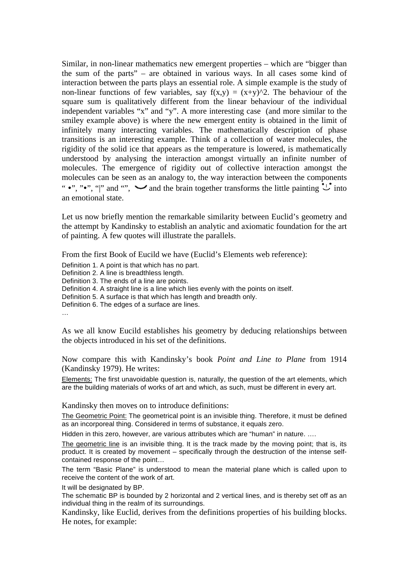Similar, in non-linear mathematics new emergent properties – which are "bigger than the sum of the parts" – are obtained in various ways. In all cases some kind of interaction between the parts plays an essential role. A simple example is the study of non-linear functions of few variables, say  $f(x,y) = (x+y)^2$ . The behaviour of the square sum is qualitatively different from the linear behaviour of the individual independent variables "x" and "y". A more interesting case (and more similar to the smiley example above) is where the new emergent entity is obtained in the limit of infinitely many interacting variables. The mathematically description of phase transitions is an interesting example. Think of a collection of water molecules, the rigidity of the solid ice that appears as the temperature is lowered, is mathematically understood by analysing the interaction amongst virtually an infinite number of molecules. The emergence of rigidity out of collective interaction amongst the molecules can be seen as an analogy to, the way interaction between the components ". "", "", "" and "",  $\bullet$  and the brain together transforms the little painting  $\mathcal{L}$  into an emotional state.

Let us now briefly mention the remarkable similarity between Euclid's geometry and the attempt by Kandinsky to establish an analytic and axiomatic foundation for the art of painting. A few quotes will illustrate the parallels.

From the first Book of Eucild we have (Euclid's Elements web reference):

Definition 1. A point is that which has no part.

Definition 2. A line is breadthless length.

Definition 3. The ends of a line are points.

Definition 4. A straight line is a line which lies evenly with the points on itself.

Definition 5. A surface is that which has length and breadth only.

Definition 6. The edges of a surface are lines.

…

As we all know Eucild establishes his geometry by deducing relationships between the objects introduced in his set of the definitions.

Now compare this with Kandinsky's book *Point and Line to Plane* from 1914 (Kandinsky 1979). He writes:

Elements: The first unavoidable question is, naturally, the question of the art elements, which are the building materials of works of art and which, as such, must be different in every art.

Kandinsky then moves on to introduce definitions:

The Geometric Point: The geometrical point is an invisible thing. Therefore, it must be defined as an incorporeal thing. Considered in terms of substance, it equals zero.

Hidden in this zero, however, are various attributes which are "human" in nature. ….

The geometric line is an invisible thing. It is the track made by the moving point; that is, its product. It is created by movement – specifically through the destruction of the intense selfcontained response of the point…

The term "Basic Plane" is understood to mean the material plane which is called upon to receive the content of the work of art.

It will be designated by BP.

The schematic BP is bounded by 2 horizontal and 2 vertical lines, and is thereby set off as an individual thing in the realm of its surroundings.

Kandinsky, like Euclid, derives from the definitions properties of his building blocks. He notes, for example: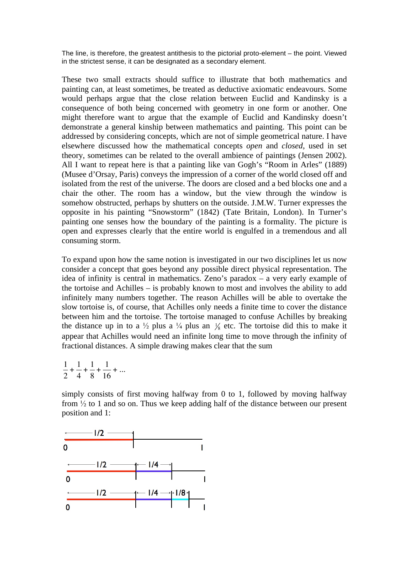The line, is therefore, the greatest antithesis to the pictorial proto-element – the point. Viewed in the strictest sense, it can be designated as a secondary element.

These two small extracts should suffice to illustrate that both mathematics and painting can, at least sometimes, be treated as deductive axiomatic endeavours. Some would perhaps argue that the close relation between Euclid and Kandinsky is a consequence of both being concerned with geometry in one form or another. One might therefore want to argue that the example of Euclid and Kandinsky doesn't demonstrate a general kinship between mathematics and painting. This point can be addressed by considering concepts, which are not of simple geometrical nature. I have elsewhere discussed how the mathematical concepts *open* and *closed*, used in set theory, sometimes can be related to the overall ambience of paintings (Jensen 2002). All I want to repeat here is that a painting like van Gogh's "Room in Arles" (1889) (Musee d'Orsay, Paris) conveys the impression of a corner of the world closed off and isolated from the rest of the universe. The doors are closed and a bed blocks one and a chair the other. The room has a window, but the view through the window is somehow obstructed, perhaps by shutters on the outside. J.M.W. Turner expresses the opposite in his painting "Snowstorm" (1842) (Tate Britain, London). In Turner's painting one senses how the boundary of the painting is a formality. The picture is open and expresses clearly that the entire world is engulfed in a tremendous and all consuming storm.

To expand upon how the same notion is investigated in our two disciplines let us now consider a concept that goes beyond any possible direct physical representation. The idea of infinity is central in mathematics. Zeno's paradox – a very early example of the tortoise and Achilles – is probably known to most and involves the ability to add infinitely many numbers together. The reason Achilles will be able to overtake the slow tortoise is, of course, that Achilles only needs a finite time to cover the distance between him and the tortoise. The tortoise managed to confuse Achilles by breaking the distance up in to a  $\frac{1}{2}$  plus a  $\frac{1}{4}$  plus an  $\frac{1}{8}$  etc. The tortoise did this to make it appear that Achilles would need an infinite long time to move through the infinity of fractional distances. A simple drawing makes clear that the sum

1 2 + 1 4 + 1 8 + 1 16 + ...

simply consists of first moving halfway from 0 to 1, followed by moving halfway from  $\frac{1}{2}$  to 1 and so on. Thus we keep adding half of the distance between our present position and 1:

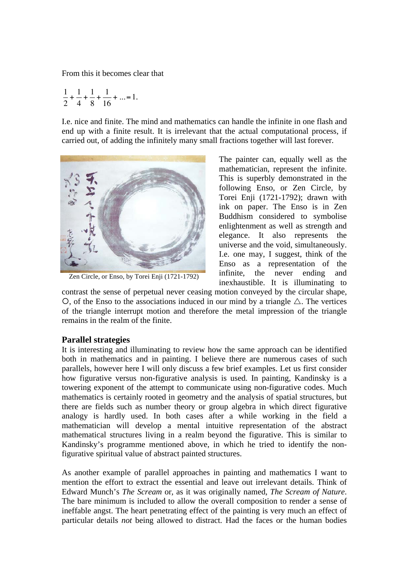From this it becomes clear that

$$
\frac{1}{2} + \frac{1}{4} + \frac{1}{8} + \frac{1}{16} + \dots = 1.
$$

I.e. nice and finite. The mind and mathematics can handle the infinite in one flash and end up with a finite result. It is irrelevant that the actual computational process, if carried out, of adding the infinitely many small fractions together will last forever.



Zen Circle, or Enso, by Torei Enji (1721-1792)

The painter can, equally well as the mathematician, represent the infinite. This is superbly demonstrated in the following Enso, or Zen Circle, by Torei Enji (1721-1792); drawn with ink on paper. The Enso is in Zen Buddhism considered to symbolise enlightenment as well as strength and elegance. It also represents the universe and the void, simultaneously. I.e. one may, I suggest, think of the Enso as a representation of the infinite, the never ending and inexhaustible. It is illuminating to

contrast the sense of perpetual never ceasing motion conveyed by the circular shape,  $\circ$ , of the Enso to the associations induced in our mind by a triangle  $\triangle$ . The vertices of the triangle interrupt motion and therefore the metal impression of the triangle remains in the realm of the finite.

#### **Parallel strategies**

It is interesting and illuminating to review how the same approach can be identified both in mathematics and in painting. I believe there are numerous cases of such parallels, however here I will only discuss a few brief examples. Let us first consider how figurative versus non-figurative analysis is used. In painting, Kandinsky is a towering exponent of the attempt to communicate using non-figurative codes. Much mathematics is certainly rooted in geometry and the analysis of spatial structures, but there are fields such as number theory or group algebra in which direct figurative analogy is hardly used. In both cases after a while working in the field a mathematician will develop a mental intuitive representation of the abstract mathematical structures living in a realm beyond the figurative. This is similar to Kandinsky's programme mentioned above, in which he tried to identify the nonfigurative spiritual value of abstract painted structures.

As another example of parallel approaches in painting and mathematics I want to mention the effort to extract the essential and leave out irrelevant details. Think of Edward Munch's *The Scream* or, as it was originally named, *The Scream of Nature*. The bare minimum is included to allow the overall composition to render a sense of ineffable angst. The heart penetrating effect of the painting is very much an effect of particular details *not* being allowed to distract. Had the faces or the human bodies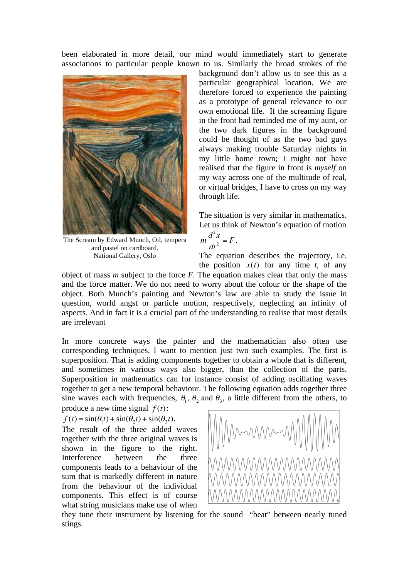been elaborated in more detail, our mind would immediately start to generate associations to particular people known to us. Similarly the broad strokes of the



The Scream by Edward Munch, Oil, tempera and pastel on cardboard. National Gallery, Oslo

background don't allow us to see this as a particular geographical location. We are therefore forced to experience the painting as a prototype of general relevance to our own emotional life. If the screaming figure in the front had reminded me of my aunt, or the two dark figures in the background could be thought of as the two bad guys always making trouble Saturday nights in my little home town; I might not have realised that the figure in front is *myself* on my way across one of the multitude of real, or virtual bridges, I have to cross on my way through life.

The situation is very similar in mathematics. Let us think of Newton's equation of motion

$$
m\frac{d^2x}{dt^2} = F.
$$

The equation describes the trajectory, i.e. the position  $x(t)$  for any time *t*, of any

object of mass *m* subject to the force *F.* The equation makes clear that only the mass and the force matter. We do not need to worry about the colour or the shape of the object. Both Munch's painting and Newton's law are able to study the issue in question, world angst or particle motion, respectively, neglecting an infinity of aspects. And in fact it is a crucial part of the understanding to realise that most details are irrelevant

In more concrete ways the painter and the mathematician also often use corresponding techniques. I want to mention just two such examples. The first is superposition. That is adding components together to obtain a whole that is different, and sometimes in various ways also bigger, than the collection of the parts. Superposition in mathematics can for instance consist of adding oscillating waves together to get a new temporal behaviour. The following equation adds together three sine waves each with frequencies,  $\theta_1$ ,  $\theta_2$  and  $\theta_3$ , a little different from the others, to

produce a new time signal  $f(t)$ :

$$
f(t) = \sin(\theta_1 t) + \sin(\theta_2 t) + \sin(\theta_3 t).
$$

The result of the three added waves together with the three original waves is shown in the figure to the right. Interference between the three components leads to a behaviour of the sum that is markedly different in nature from the behaviour of the individual components. This effect is of course what string musicians make use of when



they tune their instrument by listening for the sound "beat" between nearly tuned stings.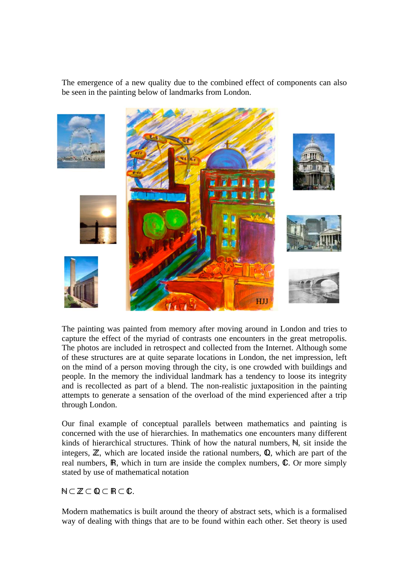The emergence of a new quality due to the combined effect of components can also be seen in the painting below of landmarks from London.



The painting was painted from memory after moving around in London and tries to capture the effect of the myriad of contrasts one encounters in the great metropolis. The photos are included in retrospect and collected from the Internet. Although some of these structures are at quite separate locations in London, the net impression, left on the mind of a person moving through the city, is one crowded with buildings and people. In the memory the individual landmark has a tendency to loose its integrity and is recollected as part of a blend. The non-realistic juxtaposition in the painting attempts to generate a sensation of the overload of the mind experienced after a trip through London.

Our final example of conceptual parallels between mathematics and painting is concerned with the use of hierarchies. In mathematics one encounters many different kinds of hierarchical structures. Think of how the natural numbers,  $N$ , sit inside the integers,  $\mathbb{Z}$ , which are located inside the rational numbers,  $\mathbb{Q}$ , which are part of the real numbers,  $\mathbb{R}$ , which in turn are inside the complex numbers,  $\mathbb{C}$ . Or more simply stated by use of mathematical notation

 $N\subset \mathbb{Z}\subset \mathbb{Q}\subset \mathbb{R}\subset \mathbb{C}$ .

Modern mathematics is built around the theory of abstract sets, which is a formalised way of dealing with things that are to be found within each other. Set theory is used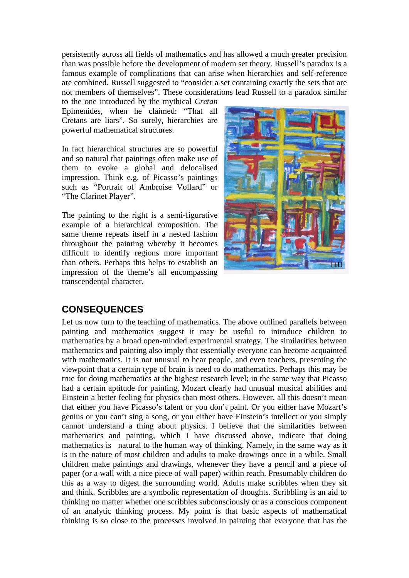persistently across all fields of mathematics and has allowed a much greater precision than was possible before the development of modern set theory. Russell's paradox is a famous example of complications that can arise when hierarchies and self-reference are combined. Russell suggested to "consider a set containing exactly the sets that are not members of themselves". These considerations lead Russell to a paradox similar

to the one introduced by the mythical *Cretan* Epimenides, when he claimed: "That all Cretans are liars". So surely, hierarchies are powerful mathematical structures.

In fact hierarchical structures are so powerful and so natural that paintings often make use of them to evoke a global and delocalised impression. Think e.g. of Picasso's paintings such as "Portrait of Ambroise Vollard" or "The Clarinet Player".

The painting to the right is a semi-figurative example of a hierarchical composition. The same theme repeats itself in a nested fashion throughout the painting whereby it becomes difficult to identify regions more important than others. Perhaps this helps to establish an impression of the theme's all encompassing transcendental character.



## **CONSEQUENCES**

Let us now turn to the teaching of mathematics. The above outlined parallels between painting and mathematics suggest it may be useful to introduce children to mathematics by a broad open-minded experimental strategy. The similarities between mathematics and painting also imply that essentially everyone can become acquainted with mathematics. It is not unusual to hear people, and even teachers, presenting the viewpoint that a certain type of brain is need to do mathematics. Perhaps this may be true for doing mathematics at the highest research level; in the same way that Picasso had a certain aptitude for painting, Mozart clearly had unusual musical abilities and Einstein a better feeling for physics than most others. However, all this doesn't mean that either you have Picasso's talent or you don't paint. Or you either have Mozart's genius or you can't sing a song, or you either have Einstein's intellect or you simply cannot understand a thing about physics. I believe that the similarities between mathematics and painting, which I have discussed above, indicate that doing mathematics is natural to the human way of thinking. Namely, in the same way as it is in the nature of most children and adults to make drawings once in a while. Small children make paintings and drawings, whenever they have a pencil and a piece of paper (or a wall with a nice piece of wall paper) within reach. Presumably children do this as a way to digest the surrounding world. Adults make scribbles when they sit and think. Scribbles are a symbolic representation of thoughts. Scribbling is an aid to thinking no matter whether one scribbles subconsciously or as a conscious component of an analytic thinking process. My point is that basic aspects of mathematical thinking is so close to the processes involved in painting that everyone that has the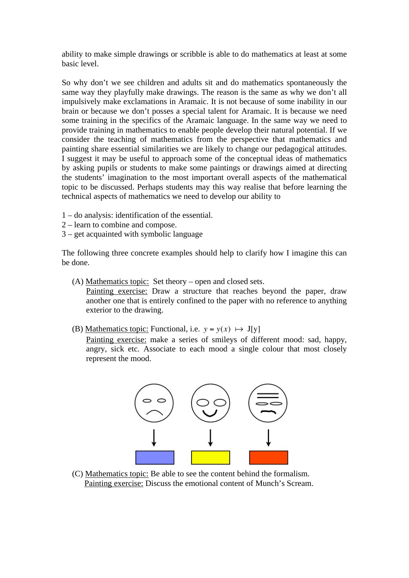ability to make simple drawings or scribble is able to do mathematics at least at some basic level.

So why don't we see children and adults sit and do mathematics spontaneously the same way they playfully make drawings. The reason is the same as why we don't all impulsively make exclamations in Aramaic. It is not because of some inability in our brain or because we don't posses a special talent for Aramaic. It is because we need some training in the specifics of the Aramaic language. In the same way we need to provide training in mathematics to enable people develop their natural potential. If we consider the teaching of mathematics from the perspective that mathematics and painting share essential similarities we are likely to change our pedagogical attitudes. I suggest it may be useful to approach some of the conceptual ideas of mathematics by asking pupils or students to make some paintings or drawings aimed at directing the students' imagination to the most important overall aspects of the mathematical topic to be discussed. Perhaps students may this way realise that before learning the technical aspects of mathematics we need to develop our ability to

- 1 do analysis: identification of the essential.
- 2 learn to combine and compose.
- 3 get acquainted with symbolic language

The following three concrete examples should help to clarify how I imagine this can be done.

(A) Mathematics topic: Set theory – open and closed sets.

Painting exercise: Draw a structure that reaches beyond the paper, draw another one that is entirely confined to the paper with no reference to anything exterior to the drawing.

(B) Mathematics topic: Functional, i.e.  $y = y(x) \rightarrow J[y]$ 

Painting exercise: make a series of smileys of different mood: sad, happy, angry, sick etc. Associate to each mood a single colour that most closely represent the mood.



 (C) Mathematics topic: Be able to see the content behind the formalism. Painting exercise: Discuss the emotional content of Munch's Scream.